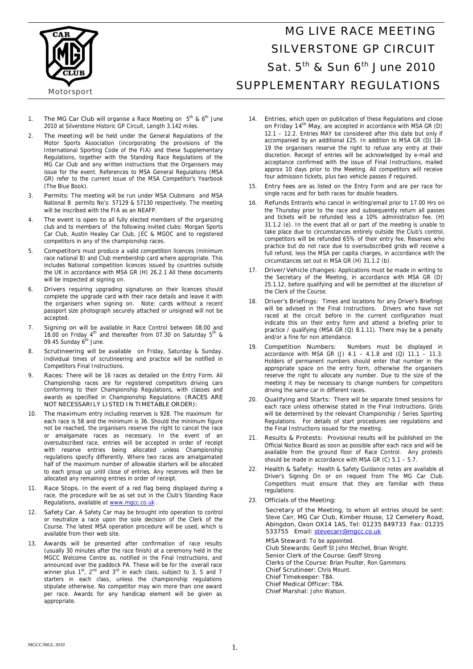

# MG LIVE RACE MEETING SILVERSTONE GP CIRCUIT Sat.  $5<sup>th</sup>$  & Sun 6<sup>th</sup> June 2010 SUPPLEMENTARY REGULATIONS

- 1. **The MG Car Club** will organise a Race Meeting on  $5<sup>th</sup>$  & 6<sup>th</sup> June 2010 at Silverstone Historic GP Circuit, Length 3.142 miles.
- 2. **The meeting** will be held under the General Regulations of the Motor Sports Association (incorporating the provisions of the International Sporting Code of the FIA) and these Supplementary Regulations, together with the Standing Race Regulations of the MG Car Club and any written instructions that the Organisers may issue for the event. References to MSA General Regulations (MSA GR) refer to the current issue of the MSA Competitor's Yearbook (The Blue Book).
- 3. **Permits**: The meeting will be run under MSA Clubmans and MSA National B permits No's: 57129 & 57130 respectively. The meeting will be inscribed with the FIA as an NEAFP.
- 4. **The event is open to** all fully elected members of the organizing club and to members of the following invited clubs: Morgan Sports Car Club, Austin Healey Car Club, JEC & MGOC and to registered competitors in any of the championship races.
- 5. **Competitors** must produce a valid competition licences (minimum race national B) and Club membership card where appropriate. This includes National competition licences issued by countries outside the UK in accordance with MSA GR (H) 26.2.1 All these documents will be inspected at signing on.
- 6. **Drivers** requiring upgrading signatures on their licences should complete the upgrade card with their race details and leave it with the organisers when signing on. Note: cards without a recent passport size photograph securely attached or unsigned will not be accepted.
- 7. **Signing on** will be available in Race Control between 08.00 and 18.00 on Friday  $4^{\text{th}}$  and thereafter from 07.30 on Saturday  $5^{\text{th}}$  & 09.45 Sunday 6<sup>th</sup> June.
- 8. **Scrutineering** will be available on Friday, Saturday & Sunday. Individual times of scrutineering and practice will be notified in Competitors Final Instructions.
- 9. **Races:** There will be 16 races as detailed on the Entry Form. All Championship races are for registered competitors driving cars conforming to their Championship Regulations, with classes and awards as specified in Championship Regulations. **(RACES ARE NOT NECESSARILY LISTED IN TIMETABLE ORDER):**
- 10. **The maximum** entry including reserves is 928. The maximum for each race is 58 and the minimum is 36. Should the minimum figure not be reached, the organisers reserve the right to cancel the race or amalgamate races as necessary. In the event of an oversubscribed race, entries will be accepted in order of receipt with reserve entries being allocated unless Championship regulations specify differently. Where two races are amalgamated half of the maximum number of allowable starters will be allocated to each group up until close of entries. Any reserves will then be allocated any remaining entries in order of receipt.
- Race Stops. In the event of a red flag being displayed during a race, the procedure will be as set out in the Club's Standing Race Regulations, available at www.mgcc.co.uk
- 12. **Safety Car.** A Safety Car may be brought into operation to control or neutralize a race upon the sole decision of the Clerk of the Course. The latest MSA operation procedure will be used, which is available from their web site.
- 13. **Awards** will be presented after confirmation of race results (usually 30 minutes after the race finish) at a ceremony held in the MGCC Welcome Centre as, notified in the Final Instructions, and announced over the paddock PA. These will be for the overall race winner plus  $1<sup>st</sup>$ ,  $2<sup>nd</sup>$  and  $3<sup>rd</sup>$  in each class, subject to 3, 5 and 7 starters in each class, unless the championship regulations stipulate otherwise. No competitor may win more than one award per race. Awards for any handicap element will be given as appropriate.
- 14. **Entries,** which open on publication of these Regulations and **close on Friday 14th May**, are accepted in accordance with MSA GR (D) 12.1 – 12.2. Entries MAY be considered after this date but only if accompanied by an additional £25. In addition to MSA GR (D) 18- 19 the organisers reserve the right to refuse any entry at their discretion. Receipt of entries will be acknowledged by e-mail and acceptance confirmed with the issue of Final Instructions, mailed approx 10 days prior to the Meeting. All competitors will receive four admission tickets, plus two vehicle passes if required.
- 15. **Entry fees** are as listed on the Entry Form and are per race for single races and for both races for double headers.
- 16. **Refunds** Entrants who cancel in writing/email prior to 17.00 Hrs on the Thursday prior to the race and subsequently return all passes and tickets will be refunded less a 10% administration fee. (H) 31.1.2 (e). In the event that all or part of the meeting is unable to take place due to circumstances entirely outside the Club's control, competitors will be refunded 65% of their entry fee. Reserves who practice but do not race due to oversubscribed grids will receive a full refund, less the MSA per capita charges, in accordance with the circumstances set out in MSA GR (H) 31.1.2 (b).
- 17. **Driver/Vehicle changes:** Applications must be made in writing to the Secretary of the Meeting, in accordance with MSA GR (D) 25.1.12, before qualifying and will be permitted at the discretion of the Clerk of the Course.
- 18. **Driver's Briefings:** Times and locations for any Driver's Briefings will be advised in the Final Instructions. Drivers who have not raced at the circuit before in the current configuration must indicate this on their entry form and attend a briefing prior to practice / qualifying (MSA GR (Q) 8.1.11). There may be a penalty and/or a fine for non attendance.
- 19. **Competition Numbers:** Numbers must be displayed in accordance with MSA GR (J)  $4.1 - 4.1.8$  and (Q)  $11.1 - 11.3$ . Holders of permanent numbers should enter that number in the appropriate space on the entry form, otherwise the organisers reserve the right to allocate any number. Due to the size of the meeting it may be necessary to change numbers for competitors driving the same car in different races.
- 20. **Qualifying and Starts:** There will be separate timed sessions for each race unless otherwise stated in the Final Instructions. Grids will be determined by the relevant Championship / Series Sporting Regulations. For details of start procedures see regulations and the Final Instructions issued for the meeting.
- 21. **Results & Protests:** Provisional results will be published on the Official Notice Board as soon as possible after each race and will be available from the ground floor of Race Control. Any protests should be made in accordance with MSA GR (C)  $5.1 - 5.7$ .
- 22. **Health & Safety:** Health & Safety Guidance notes are available at Driver's Signing On or on request from The MG Car Club. Competitors must ensure that they are familiar with these regulations.
- 23. **Officials of the Meeting:**

 **Secretary of the Meeting**, to whom all entries should be sent: Steve Carr, **MG Car Club, Kimber House, 12 Cemetery Road, Abingdon, Oxon OX14 1AS, Tel: 01235 849733 Fax: 01235 533755 Email: stevecarr@mgcc.co.uk**

**MSA Steward:** To be appointed. **Club Stewards:** Geoff St John Mitchell, Brian Wright. **Senior Clerk of the Course**: Geoff Strong **Clerks of the Course:** Brian Poulter, Ron Gammons **Chief Scrutineer:** Chris Mount. **Chief Timekeeper:** TBA. **Chief Medical Officer:** TBA. **Chief Marshal:** John Watson.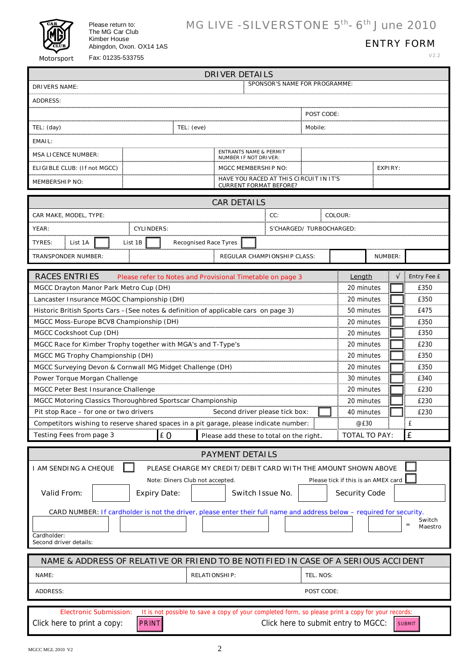

Please return to: The MG Car Club Kimber House Abingdon, Oxon. OX14 1AS Fax: 01235-533755

## MG LIVE - SILVERSTONE 5<sup>th</sup>- 6<sup>th</sup> June 2010

### ENTRY FORM

V2.2

| <b>DRIVER DETAILS</b>                                                                                                           |                                                                   |                                                                                                    |            |                         |                      |         |                    |  |
|---------------------------------------------------------------------------------------------------------------------------------|-------------------------------------------------------------------|----------------------------------------------------------------------------------------------------|------------|-------------------------|----------------------|---------|--------------------|--|
| SPONSOR'S NAME FOR PROGRAMME:<br><b>DRIVERS NAME:</b>                                                                           |                                                                   |                                                                                                    |            |                         |                      |         |                    |  |
| <b>ADDRESS:</b>                                                                                                                 |                                                                   |                                                                                                    |            |                         |                      |         |                    |  |
|                                                                                                                                 |                                                                   |                                                                                                    |            | POST CODE:              |                      |         |                    |  |
|                                                                                                                                 |                                                                   |                                                                                                    |            |                         |                      |         |                    |  |
| TEL: (day)<br>TEL: (eve)<br>Mobile:                                                                                             |                                                                   |                                                                                                    |            |                         |                      |         |                    |  |
| EMAIL:                                                                                                                          |                                                                   |                                                                                                    |            |                         |                      |         |                    |  |
| <b>MSA LICENCE NUMBER:</b>                                                                                                      | <b>ENTRANTS NAME &amp; PERMIT</b><br><b>NUMBER IF NOT DRIVER:</b> |                                                                                                    |            |                         |                      |         |                    |  |
| ELIGIBLE CLUB: (If not MGCC)                                                                                                    | <b>MGCC MEMBERSHIP NO:</b>                                        |                                                                                                    |            |                         | <b>EXPIRY:</b>       |         |                    |  |
| <b>MEMBERSHIP NO:</b>                                                                                                           |                                                                   | HAVE YOU RACED AT THIS CIRCUIT IN IT'S<br><b>CURRENT FORMAT BEFORE?</b>                            |            |                         |                      |         |                    |  |
|                                                                                                                                 |                                                                   |                                                                                                    |            |                         |                      |         |                    |  |
| <b>CAR DETAILS</b><br>COLOUR:                                                                                                   |                                                                   |                                                                                                    |            |                         |                      |         |                    |  |
| CC:<br>CAR MAKE, MODEL, TYPE:                                                                                                   |                                                                   |                                                                                                    |            |                         |                      |         |                    |  |
| YEAR:<br><b>CYLINDERS:</b>                                                                                                      |                                                                   |                                                                                                    |            | S'CHARGED/TURBOCHARGED: |                      |         |                    |  |
| List 1B<br><b>TYRES:</b><br>List 1A                                                                                             | <b>Recognised Race Tyres</b>                                      |                                                                                                    |            |                         |                      |         |                    |  |
| <b>TRANSPONDER NUMBER:</b>                                                                                                      |                                                                   | <b>REGULAR CHAMPIONSHIP CLASS:</b>                                                                 |            |                         |                      | NUMBER: |                    |  |
| <b>RACES ENTRIES</b><br>Please refer to Notes and Provisional Timetable on page 3                                               |                                                                   |                                                                                                    |            |                         | Length               |         | <b>Entry Fee £</b> |  |
| MGCC Drayton Manor Park Metro Cup (DH)                                                                                          |                                                                   |                                                                                                    |            |                         | 20 minutes           |         | £350               |  |
| Lancaster Insurance MGOC Championship (DH)                                                                                      |                                                                   |                                                                                                    |            |                         | 20 minutes           |         | £350               |  |
| Historic British Sports Cars - (See notes & definition of applicable cars on page 3)                                            |                                                                   |                                                                                                    |            |                         | 50 minutes           |         | £475               |  |
| MGCC Moss-Europe BCV8 Championship (DH)                                                                                         |                                                                   |                                                                                                    |            |                         | 20 minutes           |         | £350               |  |
| MGCC Cockshoot Cup (DH)                                                                                                         |                                                                   |                                                                                                    |            |                         | 20 minutes           |         | £350               |  |
| MGCC Race for Kimber Trophy together with MGA's and T-Type's                                                                    |                                                                   |                                                                                                    |            |                         | 20 minutes           |         | £230               |  |
| MGCC MG Trophy Championship (DH)                                                                                                |                                                                   |                                                                                                    |            |                         | 20 minutes           |         | £350               |  |
| MGCC Surveying Devon & Cornwall MG Midget Challenge (DH)                                                                        |                                                                   |                                                                                                    |            |                         | 20 minutes           |         | £350               |  |
| Power Torque Morgan Challenge                                                                                                   |                                                                   |                                                                                                    |            |                         | 30 minutes           |         | £340               |  |
| MGCC Peter Best Insurance Challenge                                                                                             |                                                                   |                                                                                                    |            |                         | 20 minutes           |         | £230               |  |
| MGCC Motoring Classics Thoroughbred Sportscar Championship<br>20 minutes                                                        |                                                                   |                                                                                                    |            |                         |                      | £230    |                    |  |
| Pit stop Race - for one or two drivers                                                                                          |                                                                   | Second driver please tick box:                                                                     |            |                         | 40 minutes           |         | £230               |  |
| Competitors wishing to reserve shared spaces in a pit garage, please indicate number:                                           |                                                                   |                                                                                                    |            |                         | @£30                 |         | £                  |  |
| $E$ 0<br>Testing Fees from page 3                                                                                               |                                                                   | Please add these to total on the right.                                                            |            |                         | <b>TOTAL TO PAY:</b> |         | £                  |  |
|                                                                                                                                 |                                                                   |                                                                                                    |            |                         |                      |         |                    |  |
|                                                                                                                                 |                                                                   | <b>PAYMENT DETAILS</b>                                                                             |            |                         |                      |         |                    |  |
| I AM SENDING A CHEQUE                                                                                                           |                                                                   | PLEASE CHARGE MY CREDIT/DEBIT CARD WITH THE AMOUNT SHOWN ABOVE                                     |            |                         |                      |         |                    |  |
| Please tick if this is an AMEX card<br>Note: Diners Club not accepted.                                                          |                                                                   |                                                                                                    |            |                         |                      |         |                    |  |
| Valid From:<br><b>Expiry Date:</b>                                                                                              |                                                                   | Switch Issue No.                                                                                   |            |                         | <b>Security Code</b> |         |                    |  |
| CARD NUMBER: If cardholder is not the driver, please enter their full name and address below - required for security.           |                                                                   |                                                                                                    |            |                         |                      |         |                    |  |
| Switch                                                                                                                          |                                                                   |                                                                                                    |            |                         |                      |         |                    |  |
| $\qquad \qquad =$<br>Maestro<br>Cardholder:                                                                                     |                                                                   |                                                                                                    |            |                         |                      |         |                    |  |
| Second driver details:                                                                                                          |                                                                   |                                                                                                    |            |                         |                      |         |                    |  |
|                                                                                                                                 |                                                                   |                                                                                                    |            |                         |                      |         |                    |  |
| NAME & ADDRESS OF RELATIVE OR FRIEND TO BE NOTIFIED IN CASE OF A SERIOUS ACCIDENT<br>NAME:<br><b>RELATIONSHIP:</b><br>TEL. NOS: |                                                                   |                                                                                                    |            |                         |                      |         |                    |  |
| <b>ADDRESS:</b>                                                                                                                 |                                                                   |                                                                                                    | POST CODE: |                         |                      |         |                    |  |
|                                                                                                                                 |                                                                   |                                                                                                    |            |                         |                      |         |                    |  |
| <b>Electronic Submission:</b>                                                                                                   |                                                                   | It is not possible to save a copy of your completed form, so please print a copy for your records: |            |                         |                      |         |                    |  |
| <b>PRINT</b><br>Click here to submit entry to MGCC:<br>Click here to print a copy:<br><b>SUBMIT</b>                             |                                                                   |                                                                                                    |            |                         |                      |         |                    |  |